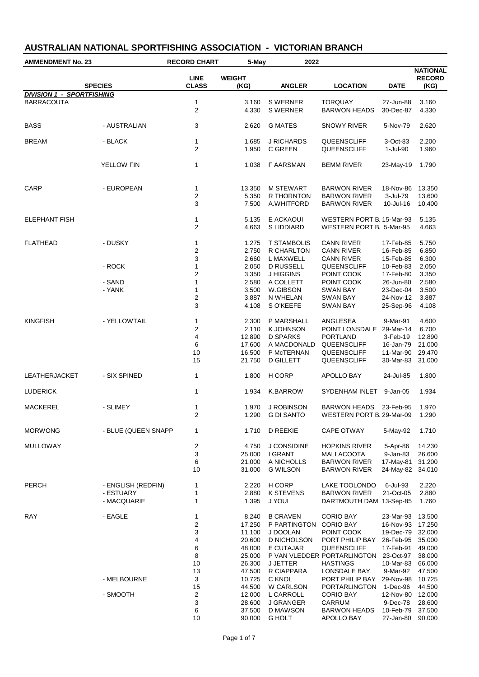| <b>AMMENDMENT No. 23</b>         |                     | <b>RECORD CHART</b><br>5-May   |                       | 2022                  |                                  |                      |                                          |  |
|----------------------------------|---------------------|--------------------------------|-----------------------|-----------------------|----------------------------------|----------------------|------------------------------------------|--|
|                                  | <b>SPECIES</b>      | <b>LINE</b><br><b>CLASS</b>    | <b>WEIGHT</b><br>(KG) | <b>ANGLER</b>         | LOCATION                         | <b>DATE</b>          | <b>NATIONAL</b><br><b>RECORD</b><br>(KG) |  |
| <b>DIVISION 1 - SPORTFISHING</b> |                     |                                |                       |                       |                                  |                      |                                          |  |
| <b>BARRACOUTA</b>                |                     | $\mathbf{1}$                   | 3.160                 | <b>SWERNER</b>        | <b>TORQUAY</b>                   | 27-Jun-88            | 3.160                                    |  |
|                                  |                     | $\overline{2}$                 | 4.330                 | <b>S WERNER</b>       | <b>BARWON HEADS</b>              | 30-Dec-87            | 4.330                                    |  |
| <b>BASS</b>                      | - AUSTRALIAN        | 3                              | 2.620                 | <b>G MATES</b>        | SNOWY RIVER                      | 5-Nov-79             | 2.620                                    |  |
| <b>BREAM</b>                     | - BLACK             | $\mathbf{1}$<br>$\overline{2}$ | 1.685<br>1.950        | J RICHARDS<br>C GREEN | QUEENSCLIFF<br>QUEENSCLIFF       | 3-Oct-83<br>1-Jul-90 | 2.200                                    |  |
|                                  |                     |                                |                       |                       |                                  |                      | 1.960                                    |  |
|                                  | YELLOW FIN          | 1                              | 1.038                 | <b>F AARSMAN</b>      | <b>BEMM RIVER</b>                | 23-May-19            | 1.790                                    |  |
| CARP                             | - EUROPEAN          | 1                              | 13.350                | <b>M STEWART</b>      | <b>BARWON RIVER</b>              | 18-Nov-86            | 13.350                                   |  |
|                                  |                     | $\overline{c}$                 | 5.350                 | R THORNTON            | <b>BARWON RIVER</b>              | 3-Jul-79             | 13.600                                   |  |
|                                  |                     | 3                              | 7.500                 | A.WHITFORD            | <b>BARWON RIVER</b>              | 10-Jul-16            | 10.400                                   |  |
| <b>ELEPHANT FISH</b>             |                     | 1                              | 5.135                 | E ACKAOUI             | <b>WESTERN PORT B. 15-Mar-93</b> |                      | 5.135                                    |  |
|                                  |                     | $\overline{2}$                 | 4.663                 | <b>SLIDDIARD</b>      | WESTERN PORT B. 5-Mar-95         |                      | 4.663                                    |  |
| <b>FLATHEAD</b>                  | - DUSKY             | $\mathbf{1}$                   | 1.275                 | <b>T STAMBOLIS</b>    | <b>CANN RIVER</b>                | 17-Feb-85            | 5.750                                    |  |
|                                  |                     | 2                              | 2.750                 | R CHARLTON            | <b>CANN RIVER</b>                | 16-Feb-85            | 6.850                                    |  |
|                                  |                     | 3                              | 2.660                 | L MAXWELL             | <b>CANN RIVER</b>                | 15-Feb-85            | 6.300                                    |  |
|                                  | - ROCK              | $\mathbf{1}$                   | 2.050                 | <b>D RUSSELL</b>      | QUEENSCLIFF                      | 10-Feb-83            | 2.050                                    |  |
|                                  |                     | $\overline{\mathbf{c}}$        | 3.350                 | J HIGGINS             | POINT COOK                       | 17-Feb-80            | 3.350                                    |  |
|                                  | - SAND              | $\mathbf{1}$                   | 2.580                 | A COLLETT             | POINT COOK                       | 26-Jun-80            | 2.580                                    |  |
|                                  | - YANK              | 1                              | 3.500                 | W.GIBSON              | SWAN BAY                         | 23-Dec-04            | 3.500                                    |  |
|                                  |                     | $\overline{\mathbf{c}}$        | 3.887                 | N WHELAN              | <b>SWAN BAY</b>                  | 24-Nov-12            | 3.887                                    |  |
|                                  |                     | 3                              | 4.108                 | S O'KEEFE             | SWAN BAY                         | 25-Sep-96            | 4.108                                    |  |
| <b>KINGFISH</b>                  | - YELLOWTAIL        | $\mathbf{1}$                   | 2.300                 | P MARSHALL            | ANGLESEA                         | 9-Mar-91             | 4.600                                    |  |
|                                  |                     | 2                              | 2.110                 | K JOHNSON             | POINT LONSDALE 29-Mar-14         |                      | 6.700                                    |  |
|                                  |                     | 4                              | 12.890                | <b>D SPARKS</b>       | <b>PORTLAND</b>                  | 3-Feb-19             | 12.890                                   |  |
|                                  |                     | 6                              | 17.600                | A MACDONALD           | QUEENSCLIFF                      | 16-Jan-79            | 21.000                                   |  |
|                                  |                     | 10                             | 16.500                | P McTERNAN            | QUEENSCLIFF                      | 11-Mar-90            | 29.470                                   |  |
|                                  |                     | 15                             | 21.750                | <b>D GILLETT</b>      | QUEENSCLIFF                      | 30-Mar-83            | 31.000                                   |  |
| <b>LEATHERJACKET</b>             | - SIX SPINED        | $\mathbf{1}$                   | 1.800                 | H CORP                | APOLLO BAY                       | 24-Jul-85            | 1.800                                    |  |
| <b>LUDERICK</b>                  |                     | $\mathbf{1}$                   | 1.934                 | K.BARROW              | SYDENHAM INLET                   | 9-Jan-05             | 1.934                                    |  |
| <b>MACKEREL</b>                  | - SLIMEY            | 1                              | 1.970                 | J ROBINSON            | BARWON HEADS 23-Feb-95           |                      | 1.970                                    |  |
|                                  |                     | $\overline{2}$                 |                       | 1.290 G DI SANTO      | WESTERN PORT B 29-Mar-09         |                      | 1.290                                    |  |
| <b>MORWONG</b>                   | - BLUE (QUEEN SNAPP | 1                              | 1.710                 | D REEKIE              | CAPE OTWAY                       | 5-May-92             | 1.710                                    |  |
| <b>MULLOWAY</b>                  |                     | $\overline{\mathbf{c}}$        | 4.750                 | J CONSIDINE           | <b>HOPKINS RIVER</b>             | 5-Apr-86             | 14.230                                   |  |
|                                  |                     | 3                              | 25.000                | I GRANT               | MALLACOOTA                       | 9-Jan-83             | 26.600                                   |  |
|                                  |                     | 6                              | 21.000                | A NICHOLLS            | <b>BARWON RIVER</b>              | 17-May-81            | 31.200                                   |  |
|                                  |                     | 10                             | 31.000                | <b>G WILSON</b>       | <b>BARWON RIVER</b>              | 24-May-82            | 34.010                                   |  |
| <b>PERCH</b>                     | - ENGLISH (REDFIN)  | 1                              | 2.220                 | H CORP                | LAKE TOOLONDO                    | 6-Jul-93             | 2.220                                    |  |
|                                  | - ESTUARY           | 1                              | 2.880                 | <b>K STEVENS</b>      | <b>BARWON RIVER</b>              | 21-Oct-05            | 2.880                                    |  |
|                                  | - MACQUARIE         | $\mathbf{1}$                   | 1.395                 | J YOUL                | DARTMOUTH DAM 13-Sep-85          |                      | 1.760                                    |  |
| <b>RAY</b>                       | - EAGLE             | 1                              | 8.240                 | <b>B CRAVEN</b>       | <b>CORIO BAY</b>                 | 23-Mar-93            | 13.500                                   |  |
|                                  |                     | 2                              | 17.250                | P PARTINGTON          | <b>CORIO BAY</b>                 | 16-Nov-93 17.250     |                                          |  |
|                                  |                     | 3                              | 11.100                | J DOOLAN              | POINT COOK                       | 19-Dec-79            | 32.000                                   |  |
|                                  |                     | 4                              | 20.600                | D NICHOLSON           | PORT PHILIP BAY                  | 26-Feb-95            | 35.000                                   |  |
|                                  |                     | 6                              | 48.000                | E CUTAJAR             | QUEENSCLIFF                      | 17-Feb-91            | 49.000                                   |  |
|                                  |                     | 8                              | 25.000                |                       | P VAN VLEDDER PORTARLINGTON      | 23-Oct-97            | 38.000                                   |  |
|                                  |                     | 10                             | 26.300                | <b>J JETTER</b>       | <b>HASTINGS</b>                  | 10-Mar-83            | 66.000                                   |  |
|                                  |                     | 13                             | 47.500                | R CIAPPARA            | LONSDALE BAY                     | 9-Mar-92             | 47.500                                   |  |
|                                  | - MELBOURNE         | 3                              | 10.725                | C KNOL                | PORT PHILIP BAY                  | 29-Nov-98            | 10.725                                   |  |
|                                  |                     | 15                             | 44.500                | W CARLSON             | PORTARLINGTON                    | 1-Dec-96             | 44.500                                   |  |
|                                  | - SMOOTH            | 2                              | 12.000                | L CARROLL             | <b>CORIO BAY</b>                 | 12-Nov-80 12.000     |                                          |  |
|                                  |                     | 3                              | 28.600                | J GRANGER             | CARRUM                           | 9-Dec-78             | 28.600                                   |  |
|                                  |                     | 6                              | 37.500                | D MAWSON              | <b>BARWON HEADS</b>              | 10-Feb-79            | 37.500                                   |  |
|                                  |                     | 10                             | 90.000                | <b>G HOLT</b>         | APOLLO BAY                       | 27-Jan-80 90.000     |                                          |  |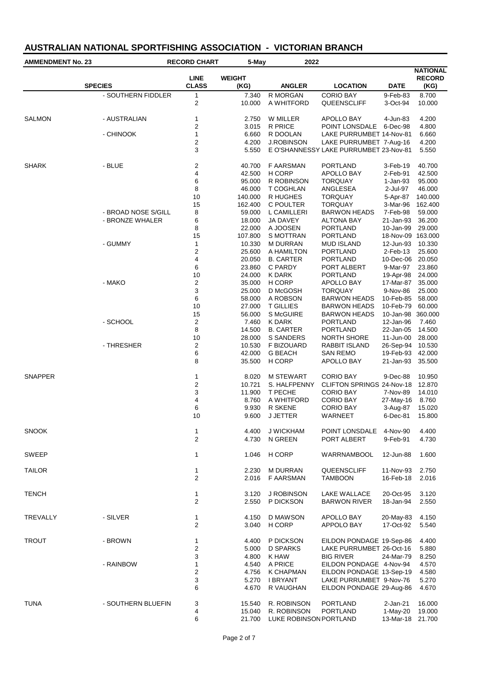| <b>AMMENDMENT No. 23</b> |                     | <b>RECORD CHART</b><br>5-May |                       | 2022                             |                                                                   |                                |                                          |
|--------------------------|---------------------|------------------------------|-----------------------|----------------------------------|-------------------------------------------------------------------|--------------------------------|------------------------------------------|
|                          | <b>SPECIES</b>      | <b>LINE</b><br><b>CLASS</b>  | <b>WEIGHT</b><br>(KG) | <b>ANGLER</b>                    | <b>LOCATION</b>                                                   | <b>DATE</b>                    | <b>NATIONAL</b><br><b>RECORD</b><br>(KG) |
|                          | - SOUTHERN FIDDLER  | 1                            | 7.340                 | R MORGAN                         | <b>CORIO BAY</b>                                                  | 9-Feb-83                       | 8.700                                    |
|                          |                     | 2                            | 10.000                | A WHITFORD                       | QUEENSCLIFF                                                       | 3-Oct-94                       | 10.000                                   |
| <b>SALMON</b>            | - AUSTRALIAN        | 1                            | 2.750                 | W MILLER                         | APOLLO BAY                                                        | 4-Jun-83                       | 4.200                                    |
|                          |                     | 2                            | 3.015                 | R PRICE                          | POINT LONSDALE                                                    | 6-Dec-98                       | 4.800                                    |
|                          | - CHINOOK           | 1                            | 6.660                 | R DOOLAN                         | LAKE PURRUMBET 14-Nov-81                                          |                                | 6.660                                    |
|                          |                     | 2<br>3                       | 4.200<br>5.550        | <b>J.ROBINSON</b>                | LAKE PURRUMBET 7-Aug-16<br>E O'SHANNESSY LAKE PURRUMBET 23-Nov-81 |                                | 4.200<br>5.550                           |
| <b>SHARK</b>             | - BLUE              | 2                            | 40.700                | <b>F AARSMAN</b>                 | PORTLAND                                                          | 3-Feb-19                       | 40.700                                   |
|                          |                     | 4                            | 42.500                | H CORP                           | APOLLO BAY                                                        | 2-Feb-91                       | 42.500                                   |
|                          |                     | 6                            | 95.000                | R ROBINSON                       | <b>TORQUAY</b>                                                    | 1-Jan-93                       | 95.000                                   |
|                          |                     | 8                            | 46.000                | T COGHLAN                        | ANGLESEA                                                          | 2-Jul-97                       | 46.000                                   |
|                          |                     | 10                           | 140.000               | R HUGHES                         | TORQUAY                                                           | 5-Apr-87                       | 140.000                                  |
|                          |                     | 15                           | 162.400               | C POULTER                        | <b>TORQUAY</b>                                                    | 3-Mar-96                       | 162.400                                  |
|                          | - BROAD NOSE S/GILL | 8                            | 59.000                | L CAMILLERI                      | <b>BARWON HEADS</b>                                               | 7-Feb-98                       | 59.000                                   |
|                          | - BRONZE WHALER     | 6                            | 18.000                | JA DAVEY                         | <b>ALTONA BAY</b>                                                 | 21-Jan-93                      | 36.200                                   |
|                          |                     | 8<br>15                      | 22.000<br>107.800     | A JOOSEN<br>S MOTTRAN            | <b>PORTLAND</b><br><b>PORTLAND</b>                                | 10-Jan-99<br>18-Nov-09 163.000 | 29.000                                   |
|                          | - GUMMY             | 1                            | 10.330                | <b>M DURRAN</b>                  | <b>MUD ISLAND</b>                                                 | 12-Jun-93                      | 10.330                                   |
|                          |                     | 2                            | 25.600                | A HAMILTON                       | <b>PORTLAND</b>                                                   | 2-Feb-13                       | 25.600                                   |
|                          |                     | 4                            | 20.050                | <b>B. CARTER</b>                 | PORTLAND                                                          | 10-Dec-06                      | 20.050                                   |
|                          |                     | 6                            | 23.860                | C PARDY                          | PORT ALBERT                                                       | 9-Mar-97                       | 23.860                                   |
|                          |                     | 10                           | 24.000                | K DARK                           | PORTLAND                                                          | 19-Apr-98                      | 24.000                                   |
|                          | - MAKO              | 2                            | 35.000                | H CORP                           | APOLLO BAY                                                        | 17-Mar-87                      | 35.000                                   |
|                          |                     | 3                            | 25.000                | D McGOSH                         | TORQUAY                                                           | 9-Nov-86                       | 25.000                                   |
|                          |                     | 6                            | 58.000                | A ROBSON                         | <b>BARWON HEADS</b>                                               | 10-Feb-85                      | 58.000                                   |
|                          |                     | 10                           | 27.000                | <b>T GILLIES</b>                 | <b>BARWON HEADS</b>                                               | 10-Feb-79                      | 60.000                                   |
|                          |                     | 15                           | 56.000                | S McGUIRE                        | <b>BARWON HEADS</b>                                               | 10-Jan-98 360.000              |                                          |
|                          | - SCHOOL            | 2                            | 7.460                 | K DARK                           | PORTLAND                                                          | 12-Jan-96                      | 7.460                                    |
|                          |                     | 8                            | 14.500                | <b>B. CARTER</b>                 | <b>PORTLAND</b>                                                   | 22-Jan-05                      | 14.500                                   |
|                          |                     | 10                           | 28.000                | S SANDERS                        | NORTH SHORE                                                       | 11-Jun-00                      | 28.000                                   |
|                          | - THRESHER          | 2                            | 10.530                | F BIZOUARD                       | RABBIT ISLAND                                                     | 26-Sep-94                      | 10.530                                   |
|                          |                     | 6<br>8                       | 42.000<br>35.500      | <b>G BEACH</b><br>H CORP         | SAN REMO<br>APOLLO BAY                                            | 19-Feb-93<br>21-Jan-93         | 42.000<br>35.500                         |
|                          |                     |                              |                       |                                  |                                                                   |                                |                                          |
| <b>SNAPPER</b>           |                     | 1<br>2                       | 8.020<br>10.721       | <b>M STEWART</b><br>S. HALFPENNY | <b>CORIO BAY</b><br>CLIFTON SPRINGS 24-Nov-18                     | 9-Dec-88                       | 10.950<br>12.870                         |
|                          |                     | 3                            | 11.900                | T PECHE                          | <b>CORIO BAY</b>                                                  | 7-Nov-89                       | 14.010                                   |
|                          |                     | 4                            | 8.760                 | A WHITFORD                       | <b>CORIO BAY</b>                                                  | 27-May-16                      | 8.760                                    |
|                          |                     | 6                            | 9.930                 | R SKENE                          | <b>CORIO BAY</b>                                                  | 3-Aug-87                       | 15.020                                   |
|                          |                     | 10                           | 9.600                 | <b>J JETTER</b>                  | WARNEET                                                           | 6-Dec-81                       | 15.800                                   |
| <b>SNOOK</b>             |                     | 1                            | 4.400                 | <b>J WICKHAM</b>                 | POINT LONSDALE                                                    | 4-Nov-90                       | 4.400                                    |
|                          |                     | 2                            | 4.730                 | N GREEN                          | PORT ALBERT                                                       | 9-Feb-91                       | 4.730                                    |
| SWEEP                    |                     | 1                            | 1.046                 | H CORP                           | WARRNAMBOOL                                                       | 12-Jun-88                      | 1.600                                    |
| <b>TAILOR</b>            |                     | 1                            | 2.230                 | <b>M DURRAN</b>                  | QUEENSCLIFF                                                       | 11-Nov-93                      | 2.750                                    |
|                          |                     | $\overline{2}$               | 2.016                 | <b>F AARSMAN</b>                 | <b>TAMBOON</b>                                                    | 16-Feb-18                      | 2.016                                    |
| <b>TENCH</b>             |                     | 1                            | 3.120                 | J ROBINSON                       | <b>LAKE WALLACE</b>                                               | 20-Oct-95                      | 3.120                                    |
|                          |                     | 2                            | 2.550                 | P DICKSON                        | <b>BARWON RIVER</b>                                               | 18-Jan-94                      | 2.550                                    |
| TREVALLY                 | - SILVER            | 1<br>2                       | 4.150<br>3.040        | D MAWSON<br>H CORP               | APOLLO BAY<br>APPOLO BAY                                          | 20-May-83<br>17-Oct-92         | 4.150<br>5.540                           |
|                          |                     |                              |                       |                                  |                                                                   |                                |                                          |
| <b>TROUT</b>             | - BROWN             | 1                            | 4.400                 | P DICKSON                        | EILDON PONDAGE 19-Sep-86                                          |                                | 4.400                                    |
|                          |                     | 2                            | 5.000                 | D SPARKS                         | LAKE PURRUMBET 26-Oct-16                                          |                                | 5.880                                    |
|                          |                     | 3                            | 4.800                 | K HAW                            | <b>BIG RIVER</b>                                                  | 24-Mar-79                      | 8.250                                    |
|                          | - RAINBOW           | 1                            | 4.540                 | A PRICE                          | EILDON PONDAGE 4-Nov-94                                           |                                | 4.570                                    |
|                          |                     | 2                            | 4.756                 | K CHAPMAN                        | EILDON PONDAGE 13-Sep-19                                          |                                | 4.580                                    |
|                          |                     | 3                            | 5.270                 | <b>I BRYANT</b>                  | LAKE PURRUMBET 9-Nov-76                                           |                                | 5.270                                    |
|                          |                     | 6                            | 4.670                 | R VAUGHAN                        | EILDON PONDAGE 29-Aug-86                                          |                                | 4.670                                    |
| <b>TUNA</b>              | - SOUTHERN BLUEFIN  | 3                            | 15.540                | R. ROBINSON                      | <b>PORTLAND</b>                                                   | 2-Jan-21                       | 16.000                                   |
|                          |                     | 4                            | 15.040                | R. ROBINSON                      | PORTLAND                                                          | 1-May-20                       | 19.000                                   |
|                          |                     | 6                            | 21.700                | LUKE ROBINSON PORTLAND           |                                                                   | 13-Mar-18 21.700               |                                          |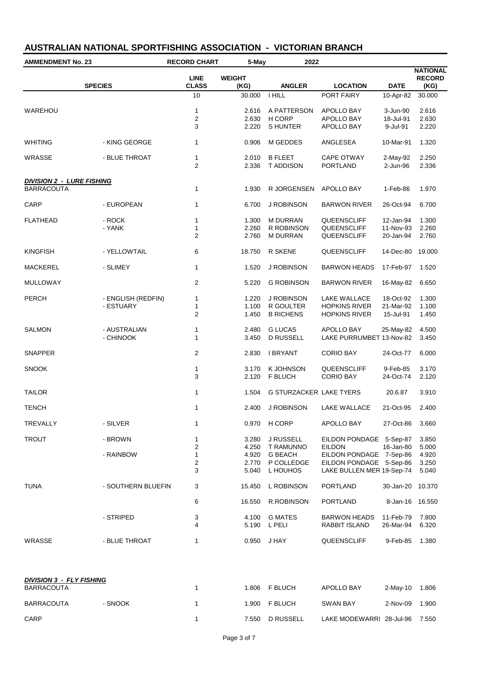| <b>AMMENDMENT No. 23</b>         |                    | <b>RECORD CHART</b>            | 5-May                   | 2022                                    |                                          |                                   |                                          |
|----------------------------------|--------------------|--------------------------------|-------------------------|-----------------------------------------|------------------------------------------|-----------------------------------|------------------------------------------|
|                                  | <b>SPECIES</b>     | <b>LINE</b><br><b>CLASS</b>    | <b>WEIGHT</b><br>(KG)   | <b>ANGLER</b>                           | <b>LOCATION</b>                          | <b>DATE</b>                       | <b>NATIONAL</b><br><b>RECORD</b><br>(KG) |
|                                  |                    | 10                             | 30.000                  | <b>I HILL</b>                           | PORT FAIRY                               | 10-Apr-82                         | 30.000                                   |
| WAREHOU                          |                    | 1<br>$\overline{c}$<br>3       | 2.616<br>2.630<br>2.220 | A PATTERSON<br>H CORP<br><b>SHUNTER</b> | APOLLO BAY<br>APOLLO BAY<br>APOLLO BAY   | 3-Jun-90<br>18-Jul-91<br>9-Jul-91 | 2.616<br>2.630<br>2.220                  |
| <b>WHITING</b>                   | - KING GEORGE      | 1                              | 0.906                   | M GEDDES                                | <b>ANGLESEA</b>                          | 10-Mar-91                         | 1.320                                    |
| WRASSE                           | - BLUE THROAT      | $\mathbf{1}$<br>$\overline{2}$ | 2.010<br>2.336          | <b>B FLEET</b><br>T ADDISON             | <b>CAPE OTWAY</b><br><b>PORTLAND</b>     | 2-May-92<br>2-Jun-96              | 2.250<br>2.336                           |
| <b>DIVISION 2 - LURE FISHING</b> |                    |                                |                         |                                         |                                          |                                   |                                          |
| <b>BARRACOUTA</b>                |                    | 1                              | 1.930                   | R JORGENSEN                             | APOLLO BAY                               | 1-Feb-86                          | 1.970                                    |
| CARP                             | - EUROPEAN         | $\mathbf{1}$                   | 6.700                   | J ROBINSON                              | <b>BARWON RIVER</b>                      | 26-Oct-94                         | 6.700                                    |
| <b>FLATHEAD</b>                  | - ROCK             | 1                              | 1.300                   | <b>M DURRAN</b>                         | QUEENSCLIFF                              | 12-Jan-94                         | 1.300                                    |
|                                  | - YANK             | 1<br>$\overline{2}$            | 2.260<br>2.760          | R ROBINSON<br><b>M DURRAN</b>           | QUEENSCLIFF                              | 11-Nov-93                         | 2.260<br>2.760                           |
|                                  |                    |                                |                         |                                         | QUEENSCLIFF                              | 20-Jan-94                         |                                          |
| <b>KINGFISH</b>                  | - YELLOWTAIL       | 6                              | 18.750                  | R SKENE                                 | QUEENSCLIFF                              | 14-Dec-80                         | 19.000                                   |
| <b>MACKEREL</b>                  | - SLIMEY           | 1                              | 1.520                   | J ROBINSON                              | <b>BARWON HEADS</b>                      | 17-Feb-97                         | 1.520                                    |
| <b>MULLOWAY</b>                  |                    | 2                              | 5.220                   | <b>G ROBINSON</b>                       | <b>BARWON RIVER</b>                      | 16-May-82                         | 6.650                                    |
| <b>PERCH</b>                     | - ENGLISH (REDFIN) | 1                              | 1.220                   | J ROBINSON                              | LAKE WALLACE                             | 18-Oct-92                         | 1.300                                    |
|                                  | - ESTUARY          | 1                              | 1.100                   | R GOULTER                               | <b>HOPKINS RIVER</b>                     | 21-Mar-92                         | 1.100                                    |
|                                  |                    | 2                              | 1.450                   | <b>B RICHENS</b>                        | <b>HOPKINS RIVER</b>                     | 15-Jul-91                         | 1.450                                    |
| <b>SALMON</b>                    | - AUSTRALIAN       | 1                              | 2.480                   | <b>G LUCAS</b>                          | APOLLO BAY                               | 25-May-82                         | 4.500                                    |
|                                  | - CHINOOK          | 1                              | 3.450                   | D RUSSELL                               | LAKE PURRUMBET 13-Nov-82                 |                                   | 3.450                                    |
| <b>SNAPPER</b>                   |                    | 2                              | 2.830                   | <b>I BRYANT</b>                         | <b>CORIO BAY</b>                         | 24-Oct-77                         | 6.000                                    |
| <b>SNOOK</b>                     |                    | $\mathbf{1}$                   | 3.170                   | K JOHNSON                               | QUEENSCLIFF                              | 9-Feb-85                          | 3.170                                    |
|                                  |                    | 3                              | 2.120                   | F BLUCH                                 | <b>CORIO BAY</b>                         | 24-Oct-74                         | 2.120                                    |
| <b>TAILOR</b>                    |                    | 1                              | 1.504                   | <b>G STURZACKER LAKE TYERS</b>          |                                          | 20.6.87                           | 3.910                                    |
| <b>TENCH</b>                     |                    | 1                              | 2.400                   | J ROBINSON                              | LAKE WALLACE                             | 21-Oct-95                         | 2.400                                    |
| TREVALLY                         | - SILVER           | 1                              |                         | 0.970 H CORP                            | APOLLO BAY                               | 27-Oct-86                         | 3.660                                    |
|                                  |                    |                                |                         |                                         |                                          |                                   |                                          |
| <b>TROUT</b>                     | - BROWN            | $\mathbf{1}$<br>2              | 3.280                   | J RUSSELL<br>4.250 T RAMUNNO            | EILDON PONDAGE 5-Sep-87<br><b>EILDON</b> | 16-Jan-80                         | 3.850<br>5.000                           |
|                                  | - RAINBOW          | $\mathbf 1$                    | 4.920                   | <b>G BEACH</b>                          | EILDON PONDAGE 7-Sep-86                  |                                   | 4.920                                    |
|                                  |                    | 2                              |                         | 2.770 P COLLEDGE                        | EILDON PONDAGE 5-Sep-86                  |                                   | 3.250                                    |
|                                  |                    | 3                              | 5.040                   | L HOUHOS                                | LAKE BULLEN MER 19-Sep-74                |                                   | 5.040                                    |
| <b>TUNA</b>                      | - SOUTHERN BLUEFIN | 3                              | 15.450                  | L ROBINSON                              | <b>PORTLAND</b>                          | 30-Jan-20                         | 10.370                                   |
|                                  |                    | 6                              | 16.550                  | R.ROBINSON                              | <b>PORTLAND</b>                          | 8-Jan-16 16.550                   |                                          |
|                                  | - STRIPED          | 3                              | 4.100                   | <b>G MATES</b>                          | <b>BARWON HEADS</b>                      | 11-Feb-79                         | 7.800                                    |
|                                  |                    | 4                              |                         | 5.190 L PELI                            | RABBIT ISLAND                            | 26-Mar-94                         | 6.320                                    |
| WRASSE                           | - BLUE THROAT      | 1                              | 0.950                   | J HAY                                   | QUEENSCLIFF                              | 9-Feb-85                          | 1.380                                    |
|                                  |                    |                                |                         |                                         |                                          |                                   |                                          |

| <b>DIVISION 3 - FLY FISHING</b> |         |  |       |           |                          |          |       |  |  |  |
|---------------------------------|---------|--|-------|-----------|--------------------------|----------|-------|--|--|--|
| <b>BARRACOUTA</b>               |         |  | 1.806 | F BLUCH   | APOLLO BAY               | 2-Mav-10 | 1.806 |  |  |  |
| <b>BARRACOUTA</b>               | - SNOOK |  | 1.900 | F BLUCH   | <b>SWAN BAY</b>          | 2-Nov-09 | 1.900 |  |  |  |
| CARP                            |         |  | 7.550 | D RUSSELL | LAKE MODEWARRI 28-Jul-96 |          | 7.550 |  |  |  |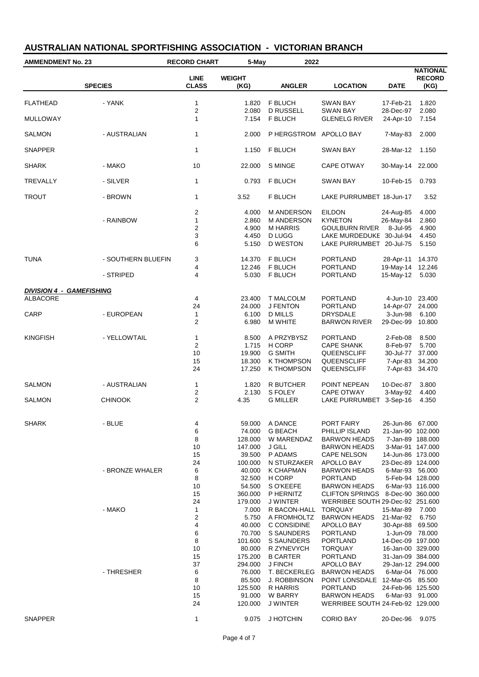| <b>AMMENDMENT No. 23</b>                           |                    | <b>RECORD CHART</b>         | 5-May                 | 2022                            |                                                                      |                        |                                          |
|----------------------------------------------------|--------------------|-----------------------------|-----------------------|---------------------------------|----------------------------------------------------------------------|------------------------|------------------------------------------|
|                                                    | <b>SPECIES</b>     | <b>LINE</b><br><b>CLASS</b> | <b>WEIGHT</b><br>(KG) | <b>ANGLER</b>                   | <b>LOCATION</b>                                                      | <b>DATE</b>            | <b>NATIONAL</b><br><b>RECORD</b><br>(KG) |
| <b>FLATHEAD</b>                                    | - YANK             | $\mathbf{1}$                | 1.820                 | F BLUCH                         | SWAN BAY                                                             | 17-Feb-21              | 1.820                                    |
| <b>MULLOWAY</b>                                    |                    | $\overline{c}$<br>1         | 2.080<br>7.154        | <b>D RUSSELL</b><br>F BLUCH     | <b>SWAN BAY</b><br><b>GLENELG RIVER</b>                              | 28-Dec-97<br>24-Apr-10 | 2.080<br>7.154                           |
| <b>SALMON</b>                                      | - AUSTRALIAN       | $\mathbf{1}$                | 2.000                 | P HERGSTROM                     | APOLLO BAY                                                           | 7-May-83               | 2.000                                    |
| <b>SNAPPER</b>                                     |                    | $\mathbf{1}$                | 1.150                 | F BLUCH                         | <b>SWAN BAY</b>                                                      | 28-Mar-12              | 1.150                                    |
| <b>SHARK</b>                                       | - MAKO             | 10                          | 22.000                | S MINGE                         | <b>CAPE OTWAY</b>                                                    | 30-May-14              | 22.000                                   |
| <b>TREVALLY</b>                                    | - SILVER           | $\mathbf{1}$                | 0.793                 | F BLUCH                         | <b>SWAN BAY</b>                                                      | 10-Feb-15              | 0.793                                    |
| <b>TROUT</b>                                       | - BROWN            | $\mathbf{1}$                | 3.52                  | F BLUCH                         | LAKE PURRUMBET 18-Jun-17                                             |                        | 3.52                                     |
|                                                    |                    | $\overline{c}$              | 4.000                 | M ANDERSON                      | <b>EILDON</b>                                                        | 24-Aug-85              | 4.000                                    |
|                                                    | - RAINBOW          | 1                           | 2.860                 | <b>M ANDERSON</b>               | <b>KYNETON</b>                                                       | 26-May-84              | 2.860                                    |
|                                                    |                    | 2                           | 4.900                 | <b>M HARRIS</b>                 | <b>GOULBURN RIVER</b>                                                | 8-Jul-95               | 4.900                                    |
|                                                    |                    | 3                           | 4.450                 | D LUGG                          | LAKE MURDEDUKE 30-Jul-94                                             |                        | 4.450                                    |
|                                                    |                    | 6                           | 5.150                 | <b>D WESTON</b>                 | LAKE PURRUMBET 20-Jul-75                                             |                        | 5.150                                    |
| <b>TUNA</b>                                        | - SOUTHERN BLUEFIN | 3                           | 14.370                | F BLUCH                         | <b>PORTLAND</b>                                                      | 28-Apr-11              | 14.370                                   |
|                                                    |                    | 4                           | 12.246                | F BLUCH                         | <b>PORTLAND</b>                                                      | 19-May-14 12.246       |                                          |
|                                                    | - STRIPED          | 4                           | 5.030                 | <b>F BLUCH</b>                  | <b>PORTLAND</b>                                                      | 15-May-12              | 5.030                                    |
|                                                    |                    |                             |                       |                                 |                                                                      |                        |                                          |
| <b>DIVISION 4 - GAMEFISHING</b><br><b>ALBACORE</b> |                    | 4                           | 23.400                | <b>T MALCOLM</b>                | <b>PORTLAND</b>                                                      | 4-Jun-10 23.400        |                                          |
|                                                    |                    | 24                          | 24.000                | <b>J FENTON</b>                 | PORTLAND                                                             | 14-Apr-07 24.000       |                                          |
| CARP                                               | - EUROPEAN         | $\mathbf{1}$                | 6.100                 | <b>D MILLS</b>                  | DRYSDALE                                                             | 3-Jun-98               | 6.100                                    |
|                                                    |                    | $\overline{2}$              | 6.980                 | <b>M WHITE</b>                  | <b>BARWON RIVER</b>                                                  | 29-Dec-99              | 10.800                                   |
| <b>KINGFISH</b>                                    | - YELLOWTAIL       | 1                           | 8.500                 | A PRZYBYSZ                      | <b>PORTLAND</b>                                                      | 2-Feb-08               | 8.500                                    |
|                                                    |                    | $\overline{2}$              | 1.715                 | H CORP                          | <b>CAPE SHANK</b>                                                    | 8-Feb-97               | 5.700                                    |
|                                                    |                    | 10                          | 19.900                | <b>G SMITH</b>                  | QUEENSCLIFF                                                          | 30-Jul-77              | 37.000                                   |
|                                                    |                    | 15                          | 18.300                | K THOMPSON                      | QUEENSCLIFF                                                          | 7-Apr-83               | 34.200                                   |
|                                                    |                    | 24                          | 17.250                | <b>K THOMPSON</b>               | QUEENSCLIFF                                                          | 7-Apr-83               | 34.470                                   |
| <b>SALMON</b>                                      | - AUSTRALIAN       | $\mathbf{1}$                | 1.820                 | R BUTCHER                       | POINT NEPEAN                                                         | 10-Dec-87              | 3.800                                    |
|                                                    |                    | $\overline{c}$              | 2.130                 | S FOLEY                         | <b>CAPE OTWAY</b>                                                    | 3-May-92               | 4.400                                    |
| <b>SALMON</b>                                      | <b>CHINOOK</b>     | $\overline{\mathbf{c}}$     | 4.35                  | <b>G MILLER</b>                 | LAKE PURRUMBET                                                       | $3-Sep-16$             | 4.350                                    |
|                                                    |                    |                             |                       |                                 |                                                                      |                        |                                          |
| <b>SHARK</b>                                       | - BLUE             | 4                           | 59.000                | A DANCE                         | PORT FAIRY                                                           | 26-Jun-86 67.000       |                                          |
|                                                    |                    | 6                           | 74.000                | <b>G BEACH</b>                  | PHILLIP ISLAND                                                       | 21-Jan-90 102.000      |                                          |
|                                                    |                    | 8                           | 128.000               | W MARENDAZ                      | <b>BARWON HEADS</b>                                                  | 7-Jan-89 188.000       |                                          |
|                                                    |                    | 10                          | 147.000               | J GILL                          | <b>BARWON HEADS</b>                                                  | 3-Mar-91 147.000       |                                          |
|                                                    |                    | 15                          | 39.500                | P ADAMS                         | <b>CAPE NELSON</b>                                                   | 14-Jun-86 173.000      |                                          |
|                                                    |                    | 24                          | 100.000               | N STURZAKER                     | APOLLO BAY                                                           | 23-Dec-89 124.000      |                                          |
|                                                    | - BRONZE WHALER    | 6                           | 40.000                | <b>K CHAPMAN</b>                | <b>BARWON HEADS</b>                                                  | 6-Mar-93 56.000        |                                          |
|                                                    |                    | 8                           | 32.500                | H CORP                          | <b>PORTLAND</b>                                                      | 5-Feb-94 128.000       |                                          |
|                                                    |                    | 10                          | 54.500                | S O'KEEFE                       | <b>BARWON HEADS</b>                                                  | 6-Mar-93 116.000       |                                          |
|                                                    |                    | 15<br>24                    | 360.000<br>179.000    | P HERNITZ<br>J WINTER           | CLIFTON SPRINGS 8-Dec-90 360.000<br>WERRIBEE SOUTH 29-Dec-92 251.600 |                        |                                          |
|                                                    | - MAKO             | $\mathbf{1}$                | 7.000                 | R BACON-HALL                    | <b>TORQUAY</b>                                                       | 15-Mar-89              | 7.000                                    |
|                                                    |                    | 2                           | 5.750                 | A FROMHOLTZ                     | <b>BARWON HEADS</b>                                                  | 21-Mar-92              | 6.750                                    |
|                                                    |                    | 4                           | 40.000                | C CONSIDINE                     | APOLLO BAY                                                           | 30-Apr-88 69.500       |                                          |
|                                                    |                    | 6                           | 70.700                | S SAUNDERS                      | <b>PORTLAND</b>                                                      | 1-Jun-09 78.000        |                                          |
|                                                    |                    | 8                           | 101.600               | S SAUNDERS                      | <b>PORTLAND</b>                                                      | 14-Dec-09 197.000      |                                          |
|                                                    |                    | 10                          | 80.000                | R ZYNEVYCH                      | <b>TORQUAY</b>                                                       | 16-Jan-00 329.000      |                                          |
|                                                    |                    | 15                          | 175.200               | <b>B CARTER</b>                 | <b>PORTLAND</b>                                                      | 31-Jan-09 384.000      |                                          |
|                                                    |                    | 37                          | 294.000               | J FINCH                         | APOLLO BAY                                                           | 29-Jan-12 294.000      |                                          |
|                                                    | - THRESHER         | 6                           | 76.000                | T. BECKERLEG                    | <b>BARWON HEADS</b>                                                  | 6-Mar-04 76.000        |                                          |
|                                                    |                    | 8<br>10                     | 85.500<br>125.500     | <b>J. ROBBINSON</b><br>R HARRIS | POINT LONSDALE 12-Mar-05<br><b>PORTLAND</b>                          | 24-Feb-96 125.500      | 85.500                                   |
|                                                    |                    | 15                          | 91.000                | W BARRY                         | <b>BARWON HEADS</b>                                                  | 6-Mar-93 91.000        |                                          |
|                                                    |                    | 24                          | 120.000               | <b>J WINTER</b>                 | WERRIBEE SOUTH 24-Feb-92 129.000                                     |                        |                                          |
|                                                    |                    |                             |                       |                                 |                                                                      |                        |                                          |
| <b>SNAPPER</b>                                     |                    | $\mathbf{1}$                | 9.075                 | J HOTCHIN                       | <b>CORIO BAY</b>                                                     | 20-Dec-96              | 9.075                                    |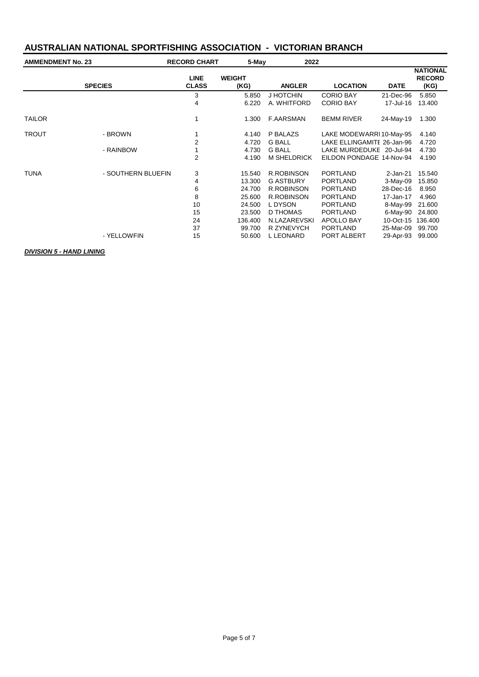| <b>AMMENDMENT No. 23</b> |                    | <b>RECORD CHART</b>         |                       | 5-May<br>2022      |                            |             |                                          |
|--------------------------|--------------------|-----------------------------|-----------------------|--------------------|----------------------------|-------------|------------------------------------------|
|                          | <b>SPECIES</b>     | <b>LINE</b><br><b>CLASS</b> | <b>WEIGHT</b><br>(KG) | <b>ANGLER</b>      | <b>LOCATION</b>            | <b>DATE</b> | <b>NATIONAL</b><br><b>RECORD</b><br>(KG) |
|                          |                    | 3                           | 5.850                 | J HOTCHIN          | <b>CORIO BAY</b>           | 21-Dec-96   | 5.850                                    |
|                          |                    | 4                           | 6.220                 | A. WHITFORD        | <b>CORIO BAY</b>           | 17-Jul-16   | 13.400                                   |
| <b>TAILOR</b>            |                    | 1                           | 1.300                 | <b>F.AARSMAN</b>   | <b>BEMM RIVER</b>          | 24-May-19   | 1.300                                    |
| <b>TROUT</b>             | - BROWN            |                             | 4.140                 | P BALAZS           | LAKE MODEWARRI 10-May-95   |             | 4.140                                    |
|                          |                    | 2                           | 4.720                 | <b>G BALL</b>      | LAKE ELLINGAMITE 26-Jan-96 |             | 4.720                                    |
|                          | - RAINBOW          | 1                           | 4.730                 | <b>G BALL</b>      | LAKE MURDEDUKE 20-Jul-94   |             | 4.730                                    |
|                          |                    | $\overline{2}$              | 4.190                 | <b>M SHELDRICK</b> | EILDON PONDAGE 14-Nov-94   |             | 4.190                                    |
| <b>TUNA</b>              | - SOUTHERN BLUEFIN | 3                           | 15.540                | <b>R.ROBINSON</b>  | <b>PORTLAND</b>            | 2-Jan-21    | 15.540                                   |
|                          |                    | 4                           | 13.300                | <b>G ASTBURY</b>   | <b>PORTLAND</b>            | $3-May-09$  | 15.850                                   |
|                          |                    | 6                           | 24.700                | <b>R.ROBINSON</b>  | <b>PORTLAND</b>            | 28-Dec-16   | 8.950                                    |
|                          |                    | 8                           | 25.600                | <b>R.ROBINSON</b>  | <b>PORTLAND</b>            | 17-Jan-17   | 4.960                                    |
|                          |                    | 10                          | 24.500                | L DYSON            | <b>PORTLAND</b>            | 8-May-99    | 21.600                                   |
|                          |                    | 15                          | 23.500                | D THOMAS           | <b>PORTLAND</b>            | 6-May-90    | 24.800                                   |
|                          |                    | 24                          | 136.400               | N.LAZAREVSKI       | APOLLO BAY                 | 10-Oct-15   | 136,400                                  |
|                          |                    | 37                          | 99.700                | R ZYNEVYCH         | <b>PORTLAND</b>            | 25-Mar-09   | 99.700                                   |
|                          | - YELLOWFIN        | 15                          | 50.600                | <b>L LEONARD</b>   | PORT ALBERT                | 29-Apr-93   | 99.000                                   |

#### *DIVISION 5 - HAND LINING*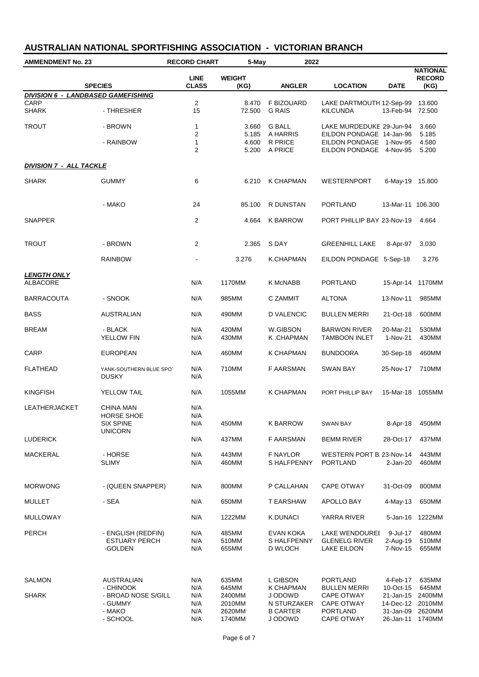| <b>AMMENDMENT No. 23</b>              |                                                                   | <b>RECORD CHART</b><br>5-May<br>2022    |                                               |                                                                   |                                                                                         |                                                               |                                               |
|---------------------------------------|-------------------------------------------------------------------|-----------------------------------------|-----------------------------------------------|-------------------------------------------------------------------|-----------------------------------------------------------------------------------------|---------------------------------------------------------------|-----------------------------------------------|
|                                       | <b>SPECIES</b>                                                    | <b>LINE</b><br><b>CLASS</b>             | <b>WEIGHT</b><br>(KG)                         | <b>ANGLER</b>                                                     | <b>LOCATION</b>                                                                         | <b>DATE</b>                                                   | <b>NATIONAL</b><br><b>RECORD</b><br>(KG)      |
|                                       | <b>DIVISION 6 - LANDBASED GAMEFISHING</b>                         |                                         |                                               |                                                                   |                                                                                         |                                                               |                                               |
| CARP<br><b>SHARK</b>                  | - THRESHER                                                        | $\overline{2}$<br>15                    | 8.470<br>72.500                               | F BIZOUARD<br><b>G RAIS</b>                                       | LAKE DARTMOUTH 12-Sep-99<br><b>KILCUNDA</b>                                             | 13-Feb-94                                                     | 13,600<br>72.500                              |
| <b>TROUT</b>                          | - BROWN                                                           | $\mathbf{1}$<br>$\overline{\mathbf{c}}$ | 3.660<br>5.185                                | <b>G BALL</b><br>A HARRIS                                         | LAKE MURDEDUKE 29-Jun-94<br>EILDON PONDAGE 14-Jan-96                                    |                                                               | 3.660<br>5.185                                |
|                                       | - RAINBOW                                                         | $\mathbf{1}$<br>$\overline{2}$          | 4.600<br>5.200                                | R PRICE<br>A PRICE                                                | EILDON PONDAGE 1-Nov-95<br>EILDON PONDAGE 4-Nov-95                                      |                                                               | 4.580<br>5.200                                |
| <b>DIVISION 7 - ALL TACKLE</b>        |                                                                   |                                         |                                               |                                                                   |                                                                                         |                                                               |                                               |
| <b>SHARK</b>                          | <b>GUMMY</b>                                                      | 6                                       | 6.210                                         | K CHAPMAN                                                         | WESTERNPORT                                                                             | 6-May-19 15.800                                               |                                               |
|                                       | - MAKO                                                            | 24                                      | 85.100                                        | R DUNSTAN                                                         | <b>PORTLAND</b>                                                                         | 13-Mar-11 106.300                                             |                                               |
| <b>SNAPPER</b>                        |                                                                   | 2                                       | 4.664                                         | <b>K BARROW</b>                                                   | PORT PHILLIP BAY 23-Nov-19                                                              |                                                               | 4.664                                         |
| <b>TROUT</b>                          | - BROWN                                                           | $\overline{2}$                          | 2.365                                         | S DAY                                                             | <b>GREENHILL LAKE</b>                                                                   | 8-Apr-97                                                      | 3.030                                         |
|                                       | <b>RAINBOW</b>                                                    |                                         | 3.276                                         | K.CHAPMAN                                                         | EILDON PONDAGE 5-Sep-18                                                                 |                                                               | 3.276                                         |
| <b>LENGTH ONLY</b><br><b>ALBACORE</b> |                                                                   | N/A                                     | 1170MM                                        | K McNABB                                                          | <b>PORTLAND</b>                                                                         | 15-Apr-14                                                     | 1170MM                                        |
| <b>BARRACOUTA</b>                     | - SNOOK                                                           | N/A                                     | 985MM                                         | C ZAMMIT                                                          | <b>ALTONA</b>                                                                           | 13-Nov-11                                                     | 985MM                                         |
| <b>BASS</b>                           | AUSTRALIAN                                                        | N/A                                     | 490MM                                         | D VALENCIC                                                        | <b>BULLEN MERRI</b>                                                                     | 21-Oct-18                                                     | 600MM                                         |
| <b>BREAM</b>                          | - BLACK<br>YELLOW FIN                                             | N/A<br>N/A                              | 420MM<br>430MM                                | W.GIBSON<br>K.CHAPMAN                                             | <b>BARWON RIVER</b><br><b>TAMBOON INLET</b>                                             | 20-Mar-21<br>1-Nov-21                                         | 530MM<br>430MM                                |
| CARP                                  | <b>EUROPEAN</b>                                                   | N/A                                     | 460MM                                         | K CHAPMAN                                                         | <b>BUNDOORA</b>                                                                         | 30-Sep-18                                                     | 460MM                                         |
| <b>FLATHEAD</b>                       | YANK-SOUTHERN BLUE SPOT<br><b>DUSKY</b>                           | N/A<br>N/A                              | 710MM                                         | F AARSMAN                                                         | <b>SWAN BAY</b>                                                                         | 25-Nov-17                                                     | 710MM                                         |
| <b>KINGFISH</b>                       | <b>YELLOW TAIL</b>                                                | N/A                                     | 1055MM                                        | K CHAPMAN                                                         | PORT PHILLIP BAY                                                                        | 15-Mar-18 1055MM                                              |                                               |
| LEATHERJACKET                         | CHINA MAN<br>HORSE SHOE<br><b>SIX SPINE</b>                       | N/A<br>N/A<br>N/A                       | 450MM                                         | K BARROW                                                          | SWAN BAY                                                                                | 8-Apr-18                                                      | 450MM                                         |
| <b>LUDERICK</b>                       | <b>UNICORN</b>                                                    | N/A                                     | 437MM                                         | F AARSMAN                                                         | <b>BEMM RIVER</b>                                                                       | 28-Oct-17                                                     | 437MM                                         |
| MACKERAL                              | - HORSE<br><b>SLIMY</b>                                           | N/A<br>N/A                              | 443MM<br>460MM                                | F NAYLOR<br><b>SHALFPENNY</b>                                     | WESTERN PORT B. 23-Nov-14<br><b>PORTLAND</b>                                            | 2-Jan-20                                                      | 443MM<br>460MM                                |
| <b>MORWONG</b>                        | - (QUEEN SNAPPER)                                                 | N/A                                     | 800MM                                         | P CALLAHAN                                                        | CAPE OTWAY                                                                              | 31-Oct-09                                                     | 800MM                                         |
| MULLET                                | - SEA                                                             | N/A                                     | 650MM                                         | <b>T EARSHAW</b>                                                  | APOLLO BAY                                                                              | 4-May-13                                                      | 650MM                                         |
| <b>MULLOWAY</b>                       |                                                                   | N/A                                     | 1222MM                                        | K.DUNACI                                                          | YARRA RIVER                                                                             | 5-Jan-16                                                      | 1222MM                                        |
| <b>PERCH</b>                          | - ENGLISH (REDFIN)<br><b>ESTUARY PERCH</b><br>-GOLDEN             | N/A<br>N/A<br>N/A                       | 485MM<br>510MM<br>655MM                       | EVAN KOKA<br>S HALFPENNY<br>D WLOCH                               | LAKE WENDOUREI<br><b>GLENELG RIVER</b><br><b>LAKE EILDON</b>                            | 9-Jul-17<br>2-Aug-19<br>7-Nov-15                              | 480MM<br>510MM<br>655MM                       |
| <b>SALMON</b>                         | <b>AUSTRALIAN</b>                                                 | N/A                                     | 635MM                                         | L GIBSON                                                          | <b>PORTLAND</b>                                                                         | 4-Feb-17                                                      | 635MM                                         |
| <b>SHARK</b>                          | - CHINOOK<br>- BROAD NOSE S/GILL<br>- GUMMY<br>- MAKO<br>- SCHOOL | N/A<br>N/A<br>N/A<br>N/A<br>N/A         | 645MM<br>2400MM<br>2010MM<br>2620MM<br>1740MM | K CHAPMAN<br>J ODOWD<br>N STURZAKER<br><b>B CARTER</b><br>J ODOWD | <b>BULLEN MERRI</b><br>CAPE OTWAY<br>CAPE OTWAY<br><b>PORTLAND</b><br><b>CAPE OTWAY</b> | 10-Oct-15<br>21-Jan-15<br>14-Dec-12<br>31-Jan-09<br>26-Jan-11 | 645MM<br>2400MM<br>2010MM<br>2620MM<br>1740MM |